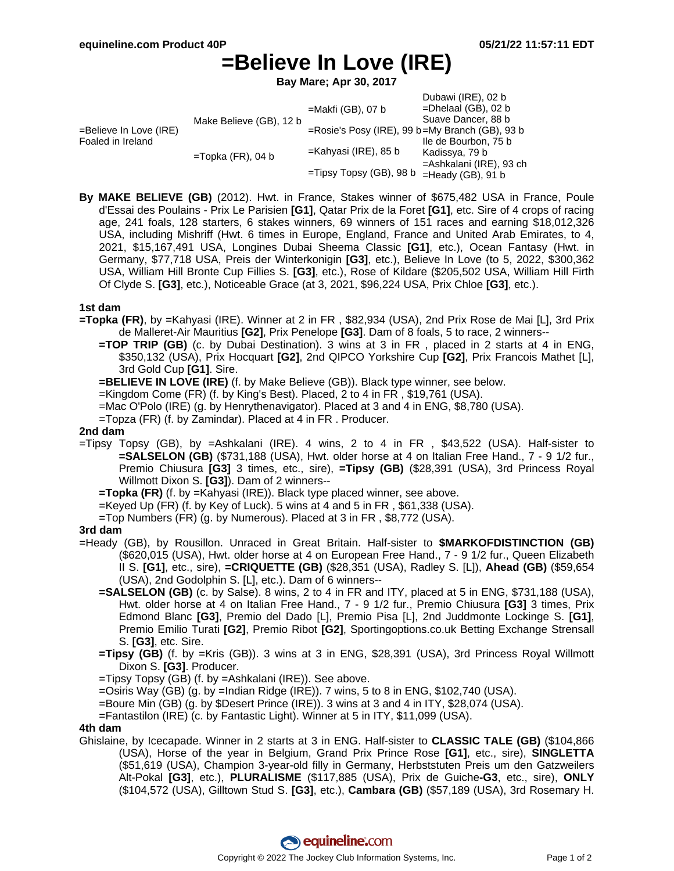# **=Believe In Love (IRE)**

**Bay Mare; Apr 30, 2017**

|                                             |                         |                                                | Dubawi (IRE), 02 b      |
|---------------------------------------------|-------------------------|------------------------------------------------|-------------------------|
| =Believe In Love (IRE)<br>Foaled in Ireland | Make Believe (GB), 12 b | $=$ Makfi (GB), 07 b                           | $=$ Dhelaal (GB), 02 b  |
|                                             |                         |                                                | Suave Dancer, 88 b      |
|                                             |                         | =Rosie's Posy (IRE), 99 b=My Branch (GB), 93 b |                         |
|                                             | $=$ Topka (FR), 04 b    | $=$ Kahyasi (IRE), 85 b                        | Ile de Bourbon, 75 b    |
|                                             |                         |                                                | Kadissya, 79 b          |
|                                             |                         | =Tipsy Topsy (GB), 98 b                        | =Ashkalani (IRE), 93 ch |
|                                             |                         |                                                | $=$ Heady (GB), 91 b    |

**By MAKE BELIEVE (GB)** (2012). Hwt. in France, Stakes winner of \$675,482 USA in France, Poule d'Essai des Poulains - Prix Le Parisien **[G1]**, Qatar Prix de la Foret **[G1]**, etc. Sire of 4 crops of racing age, 241 foals, 128 starters, 6 stakes winners, 69 winners of 151 races and earning \$18,012,326 USA, including Mishriff (Hwt. 6 times in Europe, England, France and United Arab Emirates, to 4, 2021, \$15,167,491 USA, Longines Dubai Sheema Classic **[G1]**, etc.), Ocean Fantasy (Hwt. in Germany, \$77,718 USA, Preis der Winterkonigin **[G3]**, etc.), Believe In Love (to 5, 2022, \$300,362 USA, William Hill Bronte Cup Fillies S. **[G3]**, etc.), Rose of Kildare (\$205,502 USA, William Hill Firth Of Clyde S. **[G3]**, etc.), Noticeable Grace (at 3, 2021, \$96,224 USA, Prix Chloe **[G3]**, etc.).

#### **1st dam**

- **=Topka (FR)**, by =Kahyasi (IRE). Winner at 2 in FR , \$82,934 (USA), 2nd Prix Rose de Mai [L], 3rd Prix de Malleret-Air Mauritius **[G2]**, Prix Penelope **[G3]**. Dam of 8 foals, 5 to race, 2 winners--
	- **=TOP TRIP (GB)** (c. by Dubai Destination). 3 wins at 3 in FR , placed in 2 starts at 4 in ENG, \$350,132 (USA), Prix Hocquart **[G2]**, 2nd QIPCO Yorkshire Cup **[G2]**, Prix Francois Mathet [L], 3rd Gold Cup **[G1]**. Sire.

**=BELIEVE IN LOVE (IRE)** (f. by Make Believe (GB)). Black type winner, see below.

- =Kingdom Come (FR) (f. by King's Best). Placed, 2 to 4 in FR , \$19,761 (USA).
- =Mac O'Polo (IRE) (g. by Henrythenavigator). Placed at 3 and 4 in ENG, \$8,780 (USA).
- =Topza (FR) (f. by Zamindar). Placed at 4 in FR . Producer.

### **2nd dam**

=Tipsy Topsy (GB), by =Ashkalani (IRE). 4 wins, 2 to 4 in FR , \$43,522 (USA). Half-sister to **=SALSELON (GB)** (\$731,188 (USA), Hwt. older horse at 4 on Italian Free Hand., 7 - 9 1/2 fur., Premio Chiusura **[G3]** 3 times, etc., sire), **=Tipsy (GB)** (\$28,391 (USA), 3rd Princess Royal Willmott Dixon S. **[G3]**). Dam of 2 winners--

**=Topka (FR)** (f. by =Kahyasi (IRE)). Black type placed winner, see above.

- =Keyed Up (FR) (f. by Key of Luck). 5 wins at 4 and 5 in FR , \$61,338 (USA).
- =Top Numbers (FR) (g. by Numerous). Placed at 3 in FR , \$8,772 (USA).

#### **3rd dam**

- =Heady (GB), by Rousillon. Unraced in Great Britain. Half-sister to **\$MARKOFDISTINCTION (GB)** (\$620,015 (USA), Hwt. older horse at 4 on European Free Hand., 7 - 9 1/2 fur., Queen Elizabeth II S. **[G1]**, etc., sire), **=CRIQUETTE (GB)** (\$28,351 (USA), Radley S. [L]), **Ahead (GB)** (\$59,654 (USA), 2nd Godolphin S. [L], etc.). Dam of 6 winners--
	- **=SALSELON (GB)** (c. by Salse). 8 wins, 2 to 4 in FR and ITY, placed at 5 in ENG, \$731,188 (USA), Hwt. older horse at 4 on Italian Free Hand., 7 - 9 1/2 fur., Premio Chiusura **[G3]** 3 times, Prix Edmond Blanc **[G3]**, Premio del Dado [L], Premio Pisa [L], 2nd Juddmonte Lockinge S. **[G1]**, Premio Emilio Turati **[G2]**, Premio Ribot **[G2]**, Sportingoptions.co.uk Betting Exchange Strensall S. **[G3]**, etc. Sire.
	- **=Tipsy (GB)** (f. by =Kris (GB)). 3 wins at 3 in ENG, \$28,391 (USA), 3rd Princess Royal Willmott Dixon S. **[G3]**. Producer.
	- =Tipsy Topsy (GB) (f. by =Ashkalani (IRE)). See above.

 $=$ Osiris Way (GB) (g. by  $=$ Indian Ridge (IRE)). 7 wins, 5 to 8 in ENG, \$102,740 (USA).

- =Boure Min (GB) (g. by \$Desert Prince (IRE)). 3 wins at 3 and 4 in ITY, \$28,074 (USA).
- =Fantastilon (IRE) (c. by Fantastic Light). Winner at 5 in ITY, \$11,099 (USA).

#### **4th dam**

Ghislaine, by Icecapade. Winner in 2 starts at 3 in ENG. Half-sister to **CLASSIC TALE (GB)** (\$104,866 (USA), Horse of the year in Belgium, Grand Prix Prince Rose **[G1]**, etc., sire), **SINGLETTA** (\$51,619 (USA), Champion 3-year-old filly in Germany, Herbststuten Preis um den Gatzweilers Alt-Pokal **[G3]**, etc.), **PLURALISME** (\$117,885 (USA), Prix de Guiche**-G3**, etc., sire), **ONLY** (\$104,572 (USA), Gilltown Stud S. **[G3]**, etc.), **Cambara (GB)** (\$57,189 (USA), 3rd Rosemary H.